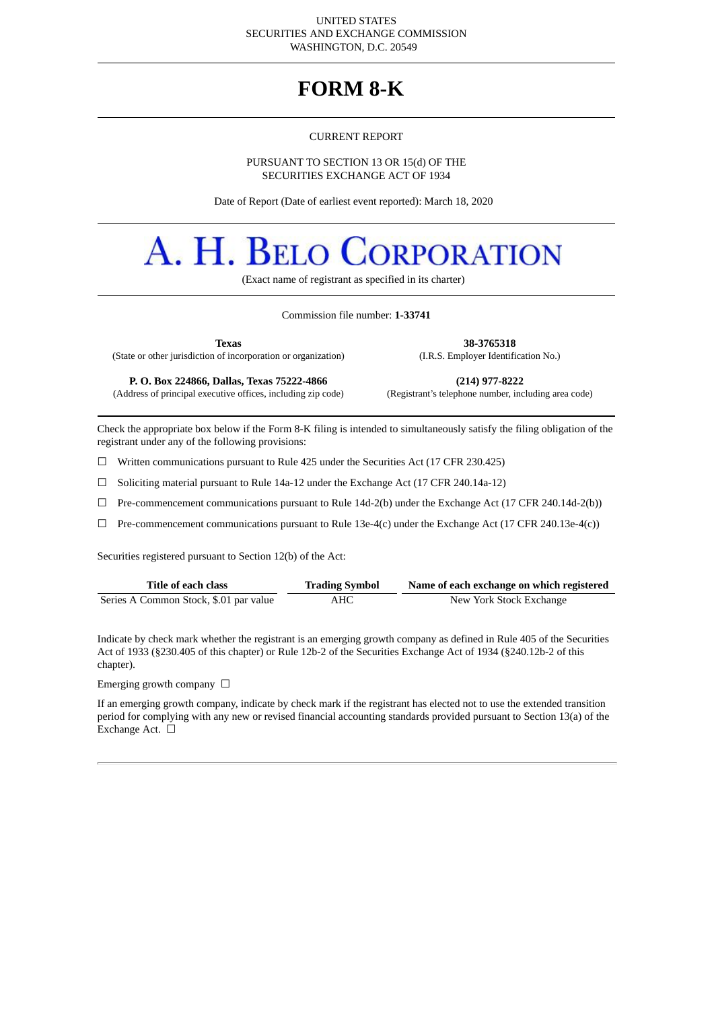#### UNITED STATES SECURITIES AND EXCHANGE COMMISSION WASHINGTON, D.C. 20549

# **FORM 8-K**

#### CURRENT REPORT

PURSUANT TO SECTION 13 OR 15(d) OF THE SECURITIES EXCHANGE ACT OF 1934

Date of Report (Date of earliest event reported): March 18, 2020

# A. H. Belo **CORPORATION**

(Exact name of registrant as specified in its charter)

#### Commission file number: **1-33741**

(State or other jurisdiction of incorporation or organization) (I.R.S. Employer Identification No.)

**Texas 38-3765318**

**P. O. Box 224866, Dallas, Texas 75222-4866 (214) 977-8222**

(Address of principal executive offices, including zip code) (Registrant's telephone number, including area code)

Check the appropriate box below if the Form 8-K filing is intended to simultaneously satisfy the filing obligation of the registrant under any of the following provisions:

☐ Written communications pursuant to Rule 425 under the Securities Act (17 CFR 230.425)

☐ Soliciting material pursuant to Rule 14a-12 under the Exchange Act (17 CFR 240.14a-12)

☐ Pre-commencement communications pursuant to Rule 14d-2(b) under the Exchange Act (17 CFR 240.14d-2(b))

 $\Box$  Pre-commencement communications pursuant to Rule 13e-4(c) under the Exchange Act (17 CFR 240.13e-4(c))

Securities registered pursuant to Section 12(b) of the Act:

| Title of each class                    | <b>Trading Symbol</b> | Name of each exchange on which registered |
|----------------------------------------|-----------------------|-------------------------------------------|
| Series A Common Stock, \$.01 par value | АНС                   | New York Stock Exchange                   |

Indicate by check mark whether the registrant is an emerging growth company as defined in Rule 405 of the Securities Act of 1933 (§230.405 of this chapter) or Rule 12b-2 of the Securities Exchange Act of 1934 (§240.12b-2 of this chapter).

# Emerging growth company  $\ \Box$

If an emerging growth company, indicate by check mark if the registrant has elected not to use the extended transition period for complying with any new or revised financial accounting standards provided pursuant to Section 13(a) of the Exchange Act.  $\Box$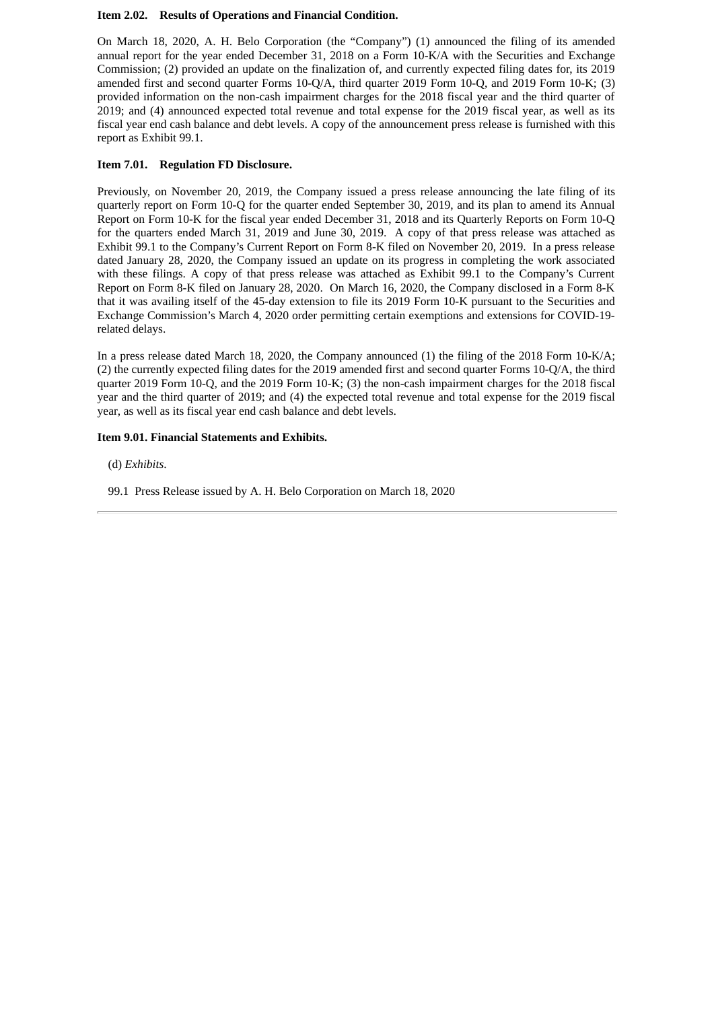#### **Item 2.02. Results of Operations and Financial Condition.**

On March 18, 2020, A. H. Belo Corporation (the "Company") (1) announced the filing of its amended annual report for the year ended December 31, 2018 on a Form 10-K/A with the Securities and Exchange Commission; (2) provided an update on the finalization of, and currently expected filing dates for, its 2019 amended first and second quarter Forms 10-Q/A, third quarter 2019 Form 10-Q, and 2019 Form 10-K; (3) provided information on the non-cash impairment charges for the 2018 fiscal year and the third quarter of 2019; and (4) announced expected total revenue and total expense for the 2019 fiscal year, as well as its fiscal year end cash balance and debt levels. A copy of the announcement press release is furnished with this report as Exhibit 99.1.

# **Item 7.01. Regulation FD Disclosure.**

Previously, on November 20, 2019, the Company issued a press release announcing the late filing of its quarterly report on Form 10-Q for the quarter ended September 30, 2019, and its plan to amend its Annual Report on Form 10-K for the fiscal year ended December 31, 2018 and its Quarterly Reports on Form 10-Q for the quarters ended March 31, 2019 and June 30, 2019. A copy of that press release was attached as Exhibit 99.1 to the Company's Current Report on Form 8-K filed on November 20, 2019. In a press release dated January 28, 2020, the Company issued an update on its progress in completing the work associated with these filings. A copy of that press release was attached as Exhibit 99.1 to the Company's Current Report on Form 8-K filed on January 28, 2020. On March 16, 2020, the Company disclosed in a Form 8-K that it was availing itself of the 45-day extension to file its 2019 Form 10-K pursuant to the Securities and Exchange Commission's March 4, 2020 order permitting certain exemptions and extensions for COVID-19 related delays.

In a press release dated March 18, 2020, the Company announced (1) the filing of the 2018 Form 10-K/A; (2) the currently expected filing dates for the 2019 amended first and second quarter Forms 10-Q/A, the third quarter 2019 Form 10-Q, and the 2019 Form 10-K; (3) the non-cash impairment charges for the 2018 fiscal year and the third quarter of 2019; and (4) the expected total revenue and total expense for the 2019 fiscal year, as well as its fiscal year end cash balance and debt levels.

# **Item 9.01. Financial Statements and Exhibits.**

(d) *Exhibits*.

99.1 Press Release issued by A. H. Belo Corporation on March 18, 2020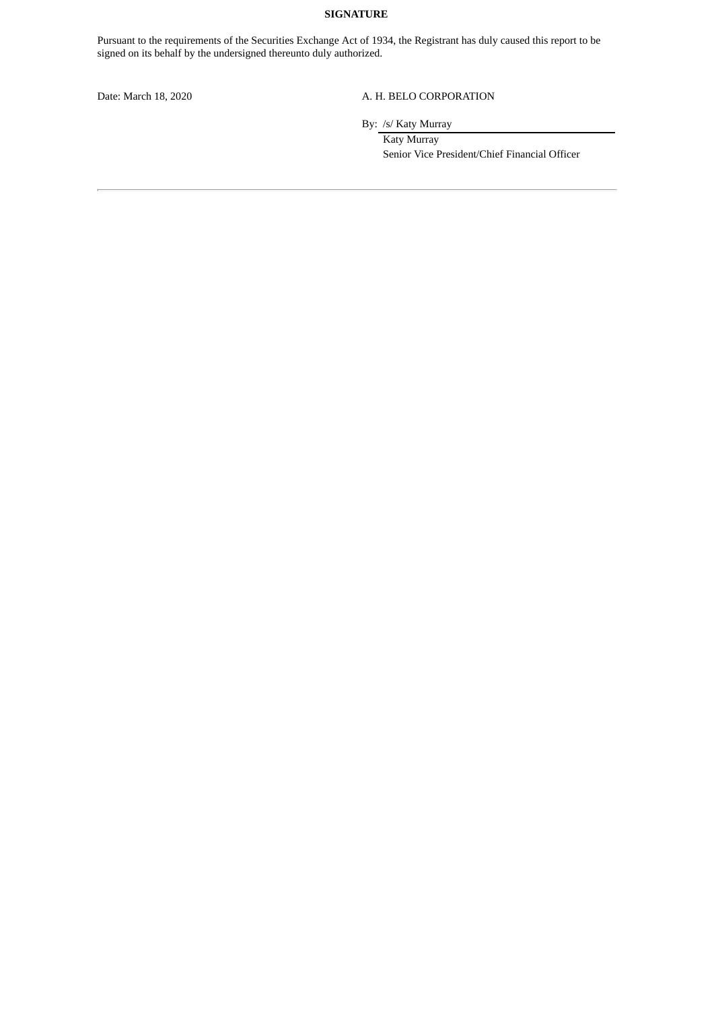# **SIGNATURE**

Pursuant to the requirements of the Securities Exchange Act of 1934, the Registrant has duly caused this report to be signed on its behalf by the undersigned thereunto duly authorized.

#### Date: March 18, 2020 A. H. BELO CORPORATION

By: /s/ Katy Murray

Katy Murray Senior Vice President/Chief Financial Officer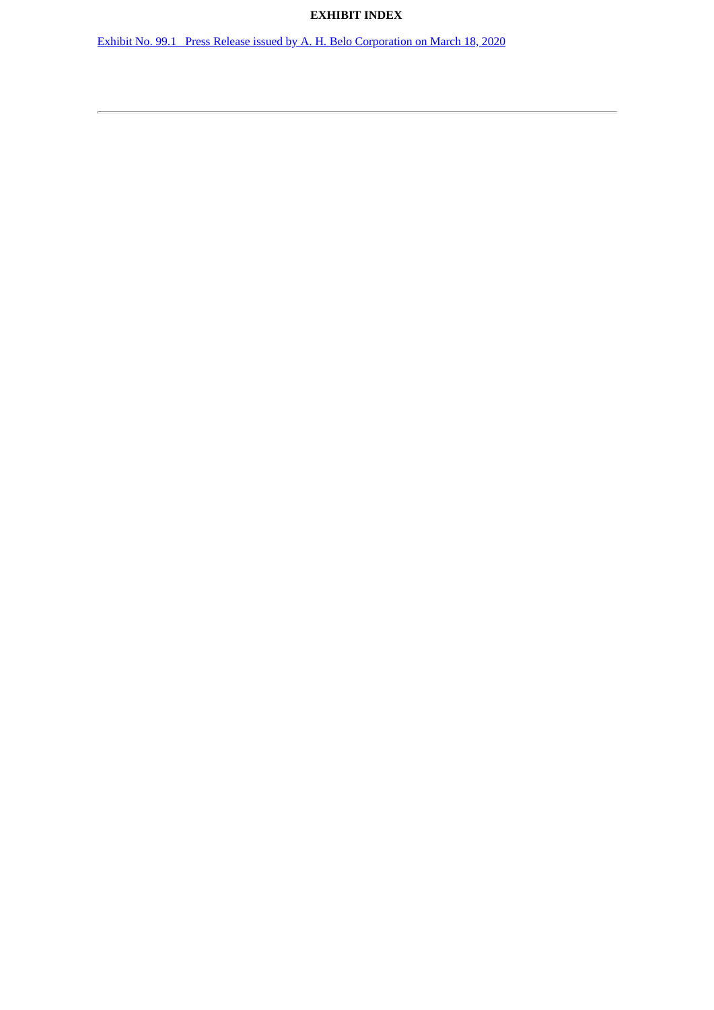# **EXHIBIT INDEX**

Exhibit No. 99.1 Press Release issued by A. H. Belo [Corporation](#page-4-0) on March 18, 2020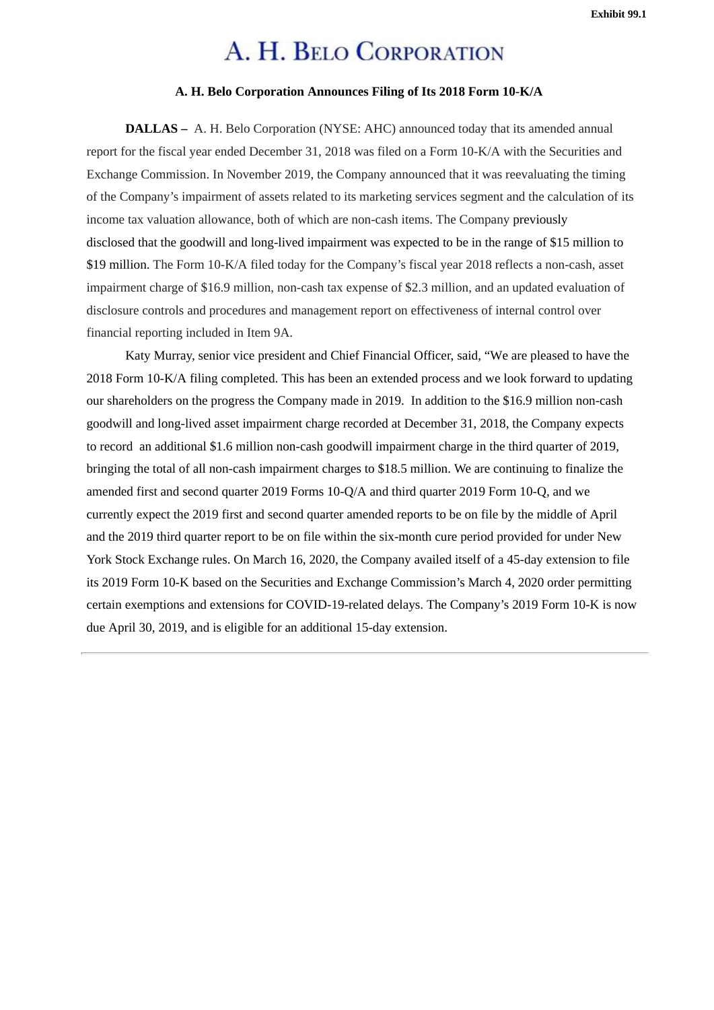**Exhibit 99.1**

# A. H. BELO CORPORATION

# **A. H. Belo Corporation Announces Filing of Its 2018 Form 10-K/A**

<span id="page-4-0"></span>**DALLAS –** A. H. Belo Corporation (NYSE: AHC) announced today that its amended annual report for the fiscal year ended December 31, 2018 was filed on a Form 10-K/A with the Securities and Exchange Commission. In November 2019, the Company announced that it was reevaluating the timing of the Company's impairment of assets related to its marketing services segment and the calculation of its income tax valuation allowance, both of which are non-cash items. The Company previously disclosed that the goodwill and long-lived impairment was expected to be in the range of \$15 million to \$19 million. The Form 10-K/A filed today for the Company's fiscal year 2018 reflects a non-cash, asset impairment charge of \$16.9 million, non-cash tax expense of \$2.3 million, and an updated evaluation of disclosure controls and procedures and management report on effectiveness of internal control over financial reporting included in Item 9A.

Katy Murray, senior vice president and Chief Financial Officer, said, "We are pleased to have the 2018 Form 10-K/A filing completed. This has been an extended process and we look forward to updating our shareholders on the progress the Company made in 2019. In addition to the \$16.9 million non-cash goodwill and long-lived asset impairment charge recorded at December 31, 2018, the Company expects to record an additional \$1.6 million non-cash goodwill impairment charge in the third quarter of 2019, bringing the total of all non-cash impairment charges to \$18.5 million. We are continuing to finalize the amended first and second quarter 2019 Forms 10-Q/A and third quarter 2019 Form 10-Q, and we currently expect the 2019 first and second quarter amended reports to be on file by the middle of April and the 2019 third quarter report to be on file within the six-month cure period provided for under New York Stock Exchange rules. On March 16, 2020, the Company availed itself of a 45-day extension to file its 2019 Form 10-K based on the Securities and Exchange Commission's March 4, 2020 order permitting certain exemptions and extensions for COVID-19-related delays. The Company's 2019 Form 10-K is now due April 30, 2019, and is eligible for an additional 15-day extension.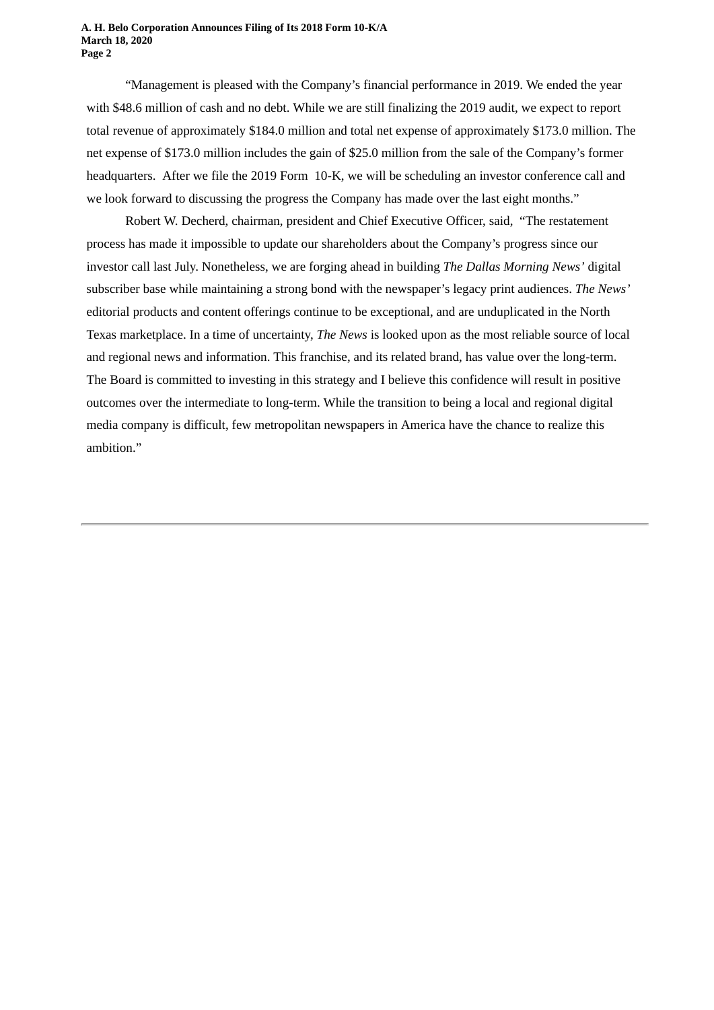#### **A. H. Belo Corporation Announces Filing of Its 2018 Form 10-K/A March 18, 2020 Page 2**

"Management is pleased with the Company's financial performance in 2019. We ended the year with \$48.6 million of cash and no debt. While we are still finalizing the 2019 audit, we expect to report total revenue of approximately \$184.0 million and total net expense of approximately \$173.0 million. The net expense of \$173.0 million includes the gain of \$25.0 million from the sale of the Company's former headquarters. After we file the 2019 Form 10-K, we will be scheduling an investor conference call and we look forward to discussing the progress the Company has made over the last eight months."

Robert W. Decherd, chairman, president and Chief Executive Officer, said, "The restatement process has made it impossible to update our shareholders about the Company's progress since our investor call last July. Nonetheless, we are forging ahead in building *The Dallas Morning News'* digital subscriber base while maintaining a strong bond with the newspaper's legacy print audiences. *The News'* editorial products and content offerings continue to be exceptional, and are unduplicated in the North Texas marketplace. In a time of uncertainty, *The News* is looked upon as the most reliable source of local and regional news and information. This franchise, and its related brand, has value over the long-term. The Board is committed to investing in this strategy and I believe this confidence will result in positive outcomes over the intermediate to long-term. While the transition to being a local and regional digital media company is difficult, few metropolitan newspapers in America have the chance to realize this ambition."